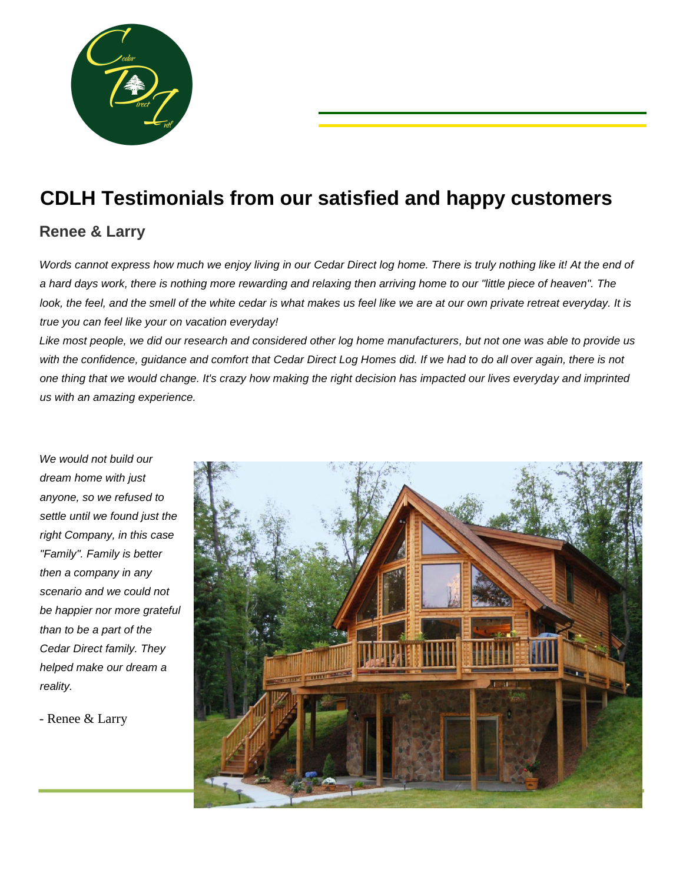

# **CDLH Testimonials from our satisfied and happy customers**

### **Renee & Larry**

Words cannot express how much we enjoy living in our Cedar Direct log home. There is truly nothing like it! At the end of *a hard days work, there is nothing more rewarding and relaxing then arriving home to our "little piece of heaven". The look, the feel, and the smell of the white cedar is what makes us feel like we are at our own private retreat everyday. It is true you can feel like your on vacation everyday!*

*Like most people, we did our research and considered other log home manufacturers, but not one was able to provide us with the confidence, guidance and comfort that Cedar Direct Log Homes did. If we had to do all over again, there is not one thing that we would change. It's crazy how making the right decision has impacted our lives everyday and imprinted us with an amazing experience.* 

*We would not build our dream home with just anyone, so we refused to settle until we found just the right Company, in this case "Family". Family is better then a company in any scenario and we could not be happier nor more grateful than to be a part of the Cedar Direct family. They helped make our dream a reality.*

- Renee & Larry

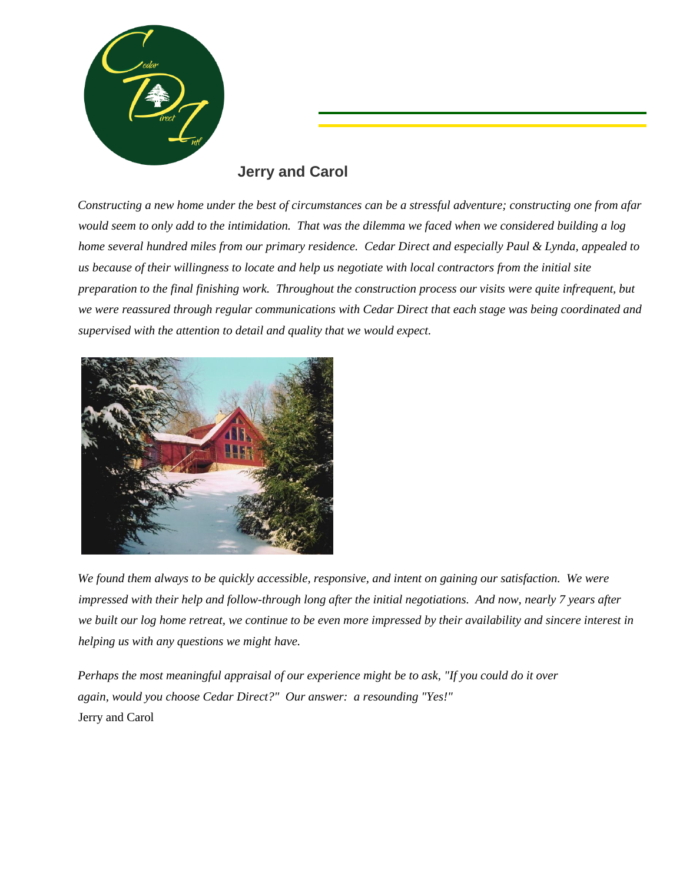

#### **Jerry and Carol**

*Constructing a new home under the best of circumstances can be a stressful adventure; constructing one from afar would seem to only add to the intimidation. That was the dilemma we faced when we considered building a log home several hundred miles from our primary residence. Cedar Direct and especially Paul & Lynda, appealed to us because of their willingness to locate and help us negotiate with local contractors from the initial site preparation to the final finishing work. Throughout the construction process our visits were quite infrequent, but we were reassured through regular communications with Cedar Direct that each stage was being coordinated and supervised with the attention to detail and quality that we would expect.*



*We found them always to be quickly accessible, responsive, and intent on gaining our satisfaction. We were impressed with their help and follow-through long after the initial negotiations. And now, nearly 7 years after we built our log home retreat, we continue to be even more impressed by their availability and sincere interest in helping us with any questions we might have.*

*Perhaps the most meaningful appraisal of our experience might be to ask, "If you could do it over again, would you choose Cedar Direct?" Our answer: a resounding "Yes!"*  Jerry and Carol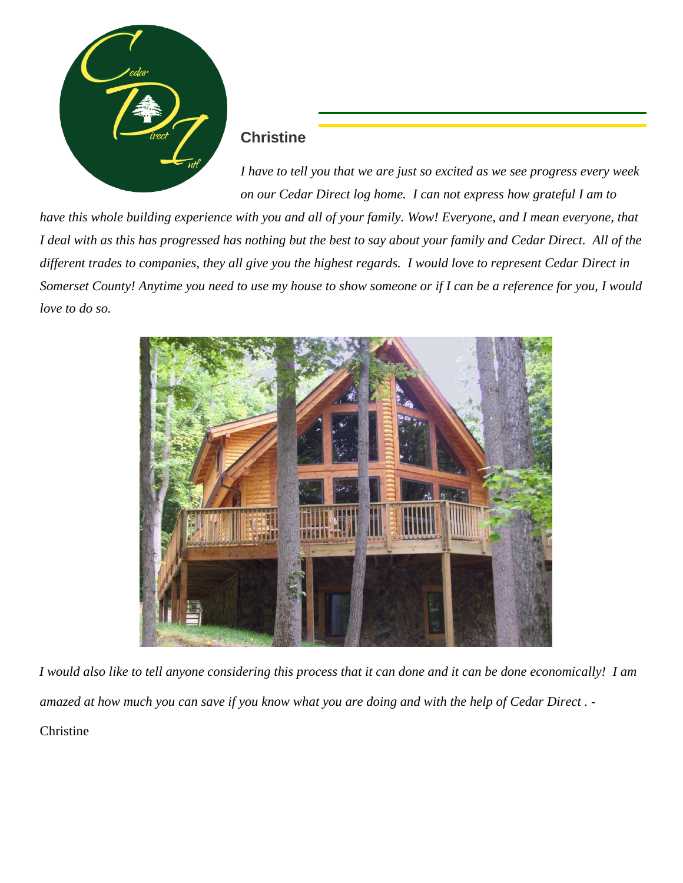

#### **Christine**

*I have to tell you that we are just so excited as we see progress every week on our Cedar Direct log home. I can not express how grateful I am to* 

*have this whole building experience with you and all of your family. Wow! Everyone, and I mean everyone, that I deal with as this has progressed has nothing but the best to say about your family and Cedar Direct. All of the different trades to companies, they all give you the highest regards. I would love to represent Cedar Direct in Somerset County! Anytime you need to use my house to show someone or if I can be a reference for you, I would love to do so.* 



*I would also like to tell anyone considering this process that it can done and it can be done economically! I am amazed at how much you can save if you know what you are doing and with the help of Cedar Direct .* - Christine